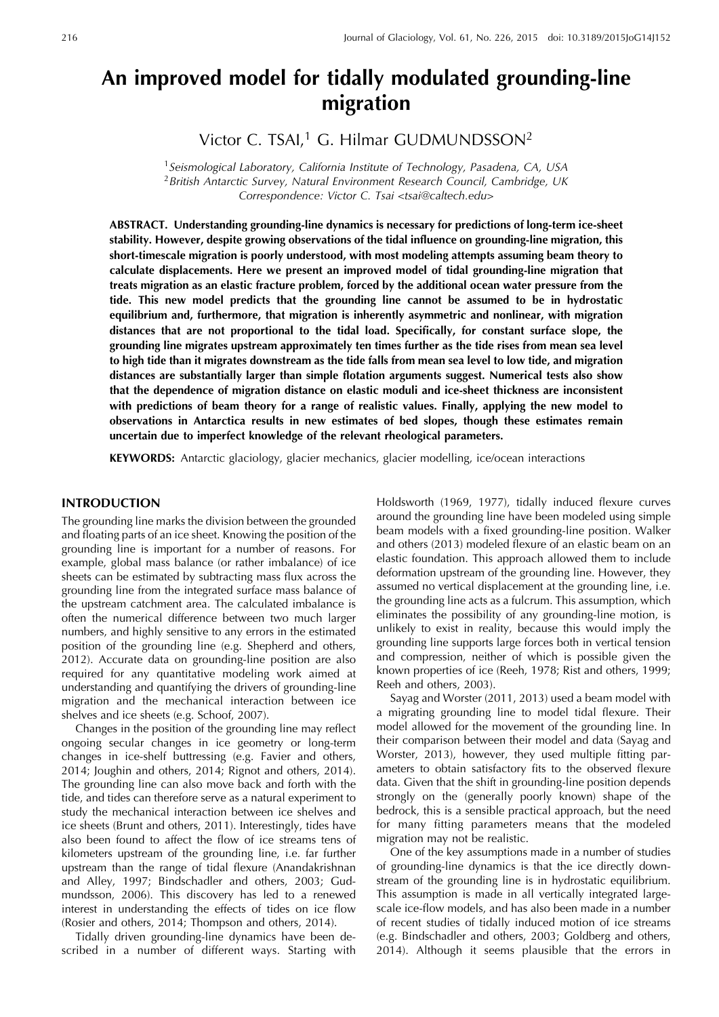# **An improved model for tidally modulated grounding-line migration**

Victor C. TSAI,<sup>1</sup> G. Hilmar GUDMUNDSSON<sup>2</sup>

<sup>1</sup>*Seismological Laboratory, California Institute of Technology, Pasadena, CA, USA* <sup>2</sup>*British Antarctic Survey, Natural Environment Research Council, Cambridge, UK Correspondence: Victor C. Tsai <tsai@caltech.edu>*

**ABSTRACT. Understanding grounding-line dynamics is necessary for predictions of long-term ice-sheet stability. However, despite growing observations of the tidal influence on grounding-line migration, this short-timescale migration is poorly understood, with most modeling attempts assuming beam theory to calculate displacements. Here we present an improved model of tidal grounding-line migration that treats migration as an elastic fracture problem, forced by the additional ocean water pressure from the tide. This new model predicts that the grounding line cannot be assumed to be in hydrostatic equilibrium and, furthermore, that migration is inherently asymmetric and nonlinear, with migration distances that are not proportional to the tidal load. Specifically, for constant surface slope, the grounding line migrates upstream approximately ten times further as the tide rises from mean sea level** to high tide than it migrates downstream as the tide falls from mean sea level to low tide, and migration **distances are substantially larger than simple flotation arguments suggest. Numerical tests also show that the dependence of migration distance on elastic moduli and ice-sheet thickness are inconsistent with predictions of beam theory for a range of realistic values. Finally, applying the new model to observations in Antarctica results in new estimates of bed slopes, though these estimates remain uncertain due to imperfect knowledge of the relevant rheological parameters.**

**KEYWORDS:** Antarctic glaciology, glacier mechanics, glacier modelling, ice/ocean interactions

## **INTRODUCTION**

The grounding line marks the division between the grounded and floating parts of an ice sheet. Knowing the position of the grounding line is important for a number of reasons. For example, global mass balance (or rather imbalance) of ice sheets can be estimated by subtracting mass flux across the grounding line from the integrated surface mass balance of the upstream catchment area. The calculated imbalance is often the numerical difference between two much larger numbers, and highly sensitive to any errors in the estimated position of the grounding line (e.g. Shepherd and others, 2012). Accurate data on grounding-line position are also required for any quantitative modeling work aimed at understanding and quantifying the drivers of grounding-line migration and the mechanical interaction between ice shelves and ice sheets (e.g. Schoof, 2007).

Changes in the position of the grounding line may reflect ongoing secular changes in ice geometry or long-term changes in ice-shelf buttressing (e.g. Favier and others, 2014; Joughin and others, 2014; Rignot and others, 2014). The grounding line can also move back and forth with the tide, and tides can therefore serve as a natural experiment to study the mechanical interaction between ice shelves and ice sheets (Brunt and others, 2011). Interestingly, tides have also been found to affect the flow of ice streams tens of kilometers upstream of the grounding line, i.e. far further upstream than the range of tidal flexure (Anandakrishnan and Alley, 1997; Bindschadler and others, 2003; Gudmundsson, 2006). This discovery has led to a renewed interest in understanding the effects of tides on ice flow (Rosier and others, 2014; Thompson and others, 2014).

Tidally driven grounding-line dynamics have been described in a number of different ways. Starting with Holdsworth (1969, 1977), tidally induced flexure curves around the grounding line have been modeled using simple beam models with a fixed grounding-line position. Walker and others (2013) modeled flexure of an elastic beam on an elastic foundation. This approach allowed them to include deformation upstream of the grounding line. However, they assumed no vertical displacement at the grounding line, i.e. the grounding line acts as a fulcrum. This assumption, which eliminates the possibility of any grounding-line motion, is unlikely to exist in reality, because this would imply the grounding line supports large forces both in vertical tension and compression, neither of which is possible given the known properties of ice (Reeh, 1978; Rist and others, 1999; Reeh and others, 2003).

Sayag and Worster (2011, 2013) used a beam model with a migrating grounding line to model tidal flexure. Their model allowed for the movement of the grounding line. In their comparison between their model and data (Sayag and Worster, 2013), however, they used multiple fitting parameters to obtain satisfactory fits to the observed flexure data. Given that the shift in grounding-line position depends strongly on the (generally poorly known) shape of the bedrock, this is a sensible practical approach, but the need for many fitting parameters means that the modeled migration may not be realistic.

One of the key assumptions made in a number of studies of grounding-line dynamics is that the ice directly downstream of the grounding line is in hydrostatic equilibrium. This assumption is made in all vertically integrated largescale ice-flow models, and has also been made in a number of recent studies of tidally induced motion of ice streams (e.g. Bindschadler and others, 2003; Goldberg and others, 2014). Although it seems plausible that the errors in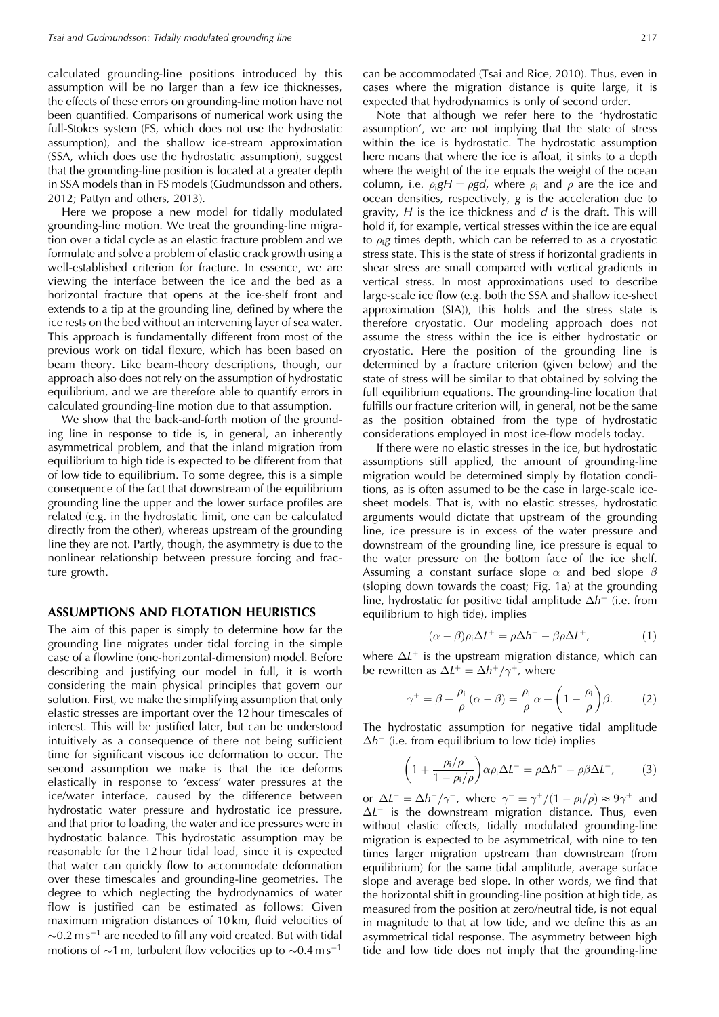calculated grounding-line positions introduced by this assumption will be no larger than a few ice thicknesses, the effects of these errors on grounding-line motion have not been quantified. Comparisons of numerical work using the full-Stokes system (FS, which does not use the hydrostatic assumption), and the shallow ice-stream approximation (SSA, which does use the hydrostatic assumption), suggest that the grounding-line position is located at a greater depth in SSA models than in FS models (Gudmundsson and others, 2012; Pattyn and others, 2013).

Here we propose a new model for tidally modulated grounding-line motion. We treat the grounding-line migration over a tidal cycle as an elastic fracture problem and we formulate and solve a problem of elastic crack growth using a well-established criterion for fracture. In essence, we are viewing the interface between the ice and the bed as a horizontal fracture that opens at the ice-shelf front and extends to a tip at the grounding line, defined by where the ice rests on the bed without an intervening layer of sea water. This approach is fundamentally different from most of the previous work on tidal flexure, which has been based on beam theory. Like beam-theory descriptions, though, our approach also does not rely on the assumption of hydrostatic equilibrium, and we are therefore able to quantify errors in calculated grounding-line motion due to that assumption.

We show that the back-and-forth motion of the grounding line in response to tide is, in general, an inherently asymmetrical problem, and that the inland migration from equilibrium to high tide is expected to be different from that of low tide to equilibrium. To some degree, this is a simple consequence of the fact that downstream of the equilibrium grounding line the upper and the lower surface profiles are related (e.g. in the hydrostatic limit, one can be calculated directly from the other), whereas upstream of the grounding line they are not. Partly, though, the asymmetry is due to the nonlinear relationship between pressure forcing and fracture growth.

## **ASSUMPTIONS AND FLOTATION HEURISTICS**

The aim of this paper is simply to determine how far the grounding line migrates under tidal forcing in the simple case of a flowline (one-horizontal-dimension) model. Before describing and justifying our model in full, it is worth considering the main physical principles that govern our solution. First, we make the simplifying assumption that only elastic stresses are important over the 12 hour timescales of interest. This will be justified later, but can be understood intuitively as a consequence of there not being sufficient time for significant viscous ice deformation to occur. The second assumption we make is that the ice deforms elastically in response to 'excess' water pressures at the ice/water interface, caused by the difference between hydrostatic water pressure and hydrostatic ice pressure, and that prior to loading, the water and ice pressures were in hydrostatic balance. This hydrostatic assumption may be reasonable for the 12 hour tidal load, since it is expected that water can quickly flow to accommodate deformation over these timescales and grounding-line geometries. The degree to which neglecting the hydrodynamics of water flow is justified can be estimated as follows: Given maximum migration distances of 10 km, fluid velocities of  $\sim$ 0.2 m s<sup>-1</sup> are needed to fill any void created. But with tidal motions of  $\sim$ 1 m, turbulent flow velocities up to  $\sim$ 0.4 m s<sup>-1</sup>

can be accommodated (Tsai and Rice, 2010). Thus, even in cases where the migration distance is quite large, it is expected that hydrodynamics is only of second order.

Note that although we refer here to the 'hydrostatic assumption', we are not implying that the state of stress within the ice is hydrostatic. The hydrostatic assumption here means that where the ice is afloat, it sinks to a depth where the weight of the ice equals the weight of the ocean column, i.e.  $\rho_i g H = \rho g d$ , where  $\rho_i$  and  $\rho$  are the ice and ocean densities, respectively, *g* is the acceleration due to gravity, *H* is the ice thickness and *d* is the draft. This will hold if, for example, vertical stresses within the ice are equal to  $\rho_i$ g times depth, which can be referred to as a cryostatic stress state. This is the state of stress if horizontal gradients in shear stress are small compared with vertical gradients in vertical stress. In most approximations used to describe large-scale ice flow (e.g. both the SSA and shallow ice-sheet approximation (SIA)), this holds and the stress state is therefore cryostatic. Our modeling approach does not assume the stress within the ice is either hydrostatic or cryostatic. Here the position of the grounding line is determined by a fracture criterion (given below) and the state of stress will be similar to that obtained by solving the full equilibrium equations. The grounding-line location that fulfills our fracture criterion will, in general, not be the same as the position obtained from the type of hydrostatic considerations employed in most ice-flow models today.

If there were no elastic stresses in the ice, but hydrostatic assumptions still applied, the amount of grounding-line migration would be determined simply by flotation conditions, as is often assumed to be the case in large-scale icesheet models. That is, with no elastic stresses, hydrostatic arguments would dictate that upstream of the grounding line, ice pressure is in excess of the water pressure and downstream of the grounding line, ice pressure is equal to the water pressure on the bottom face of the ice shelf. Assuming a constant surface slope  $\alpha$  and bed slope  $\beta$ (sloping down towards the coast; Fig. 1a) at the grounding line, hydrostatic for positive tidal amplitude  $\Delta h^+$  (i.e. from equilibrium to high tide), implies

$$
(\alpha - \beta)\rho_{i}\Delta L^{+} = \rho \Delta h^{+} - \beta \rho \Delta L^{+}, \qquad (1)
$$

where  $\Delta L^+$  is the upstream migration distance, which can be rewritten as  $\Delta L^+ = \Delta h^+ / \gamma^+$ , where

$$
\gamma^+ = \beta + \frac{\rho_i}{\rho} (\alpha - \beta) = \frac{\rho_i}{\rho} \alpha + \left(1 - \frac{\rho_i}{\rho}\right) \beta. \tag{2}
$$

The hydrostatic assumption for negative tidal amplitude  $\Delta h^-$  (i.e. from equilibrium to low tide) implies

$$
\left(1+\frac{\rho_i/\rho}{1-\rho_i/\rho}\right)\alpha\rho_i\Delta L^-=\rho\Delta h^--\rho\beta\Delta L^-, \qquad (3)
$$

or  $\Delta L^{-} = \Delta h^{-} / \gamma^{-}$ , where  $\gamma^{-} = \gamma^{+} / (1 - \rho_{i} / \rho) \approx 9 \gamma^{+}$  and  $\Delta L$ <sup>-</sup> is the downstream migration distance. Thus, even without elastic effects, tidally modulated grounding-line migration is expected to be asymmetrical, with nine to ten times larger migration upstream than downstream (from equilibrium) for the same tidal amplitude, average surface slope and average bed slope. In other words, we find that the horizontal shift in grounding-line position at high tide, as measured from the position at zero/neutral tide, is not equal in magnitude to that at low tide, and we define this as an asymmetrical tidal response. The asymmetry between high tide and low tide does not imply that the grounding-line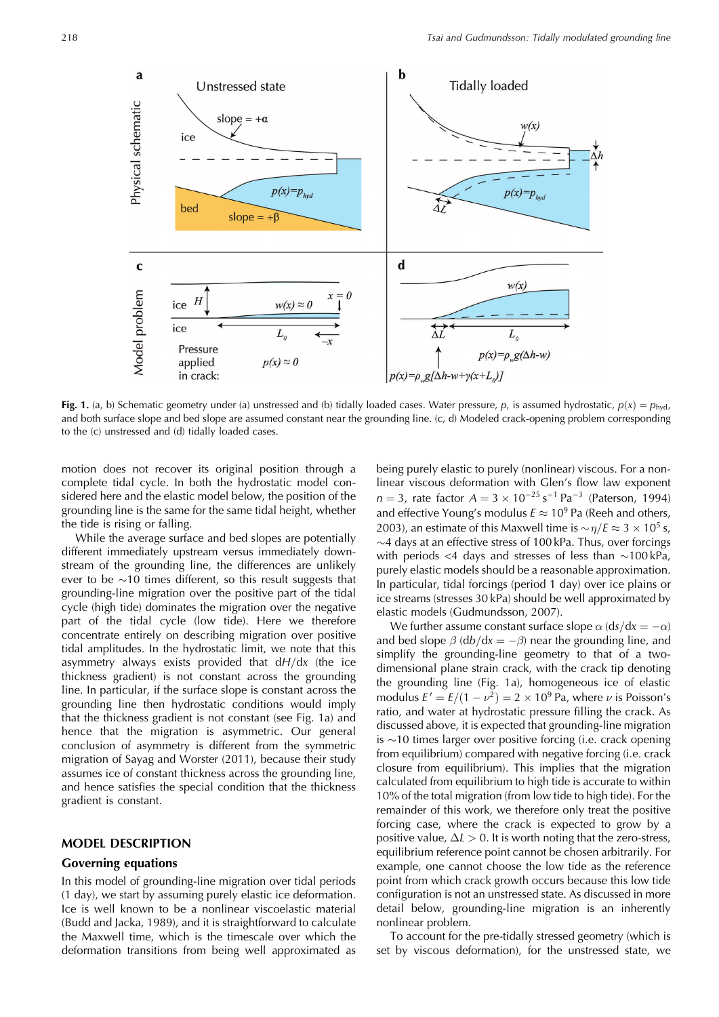

**Fig.** 1. (a, b) Schematic geometry under (a) unstressed and (b) tidally loaded cases. Water pressure, *p*, is assumed hydrostatic,  $p(x) = p_{\text{hvd}}$ , and both surface slope and bed slope are assumed constant near the grounding line. (c, d) Modeled crack-opening problem corresponding to the (c) unstressed and (d) tidally loaded cases.

motion does not recover its original position through a complete tidal cycle. In both the hydrostatic model considered here and the elastic model below, the position of the grounding line is the same for the same tidal height, whether the tide is rising or falling.

While the average surface and bed slopes are potentially different immediately upstream versus immediately downstream of the grounding line, the differences are unlikely ever to be  $\sim$ 10 times different, so this result suggests that grounding-line migration over the positive part of the tidal cycle (high tide) dominates the migration over the negative part of the tidal cycle (low tide). Here we therefore concentrate entirely on describing migration over positive tidal amplitudes. In the hydrostatic limit, we note that this asymmetry always exists provided that  $dH/dx$  (the ice thickness gradient) is not constant across the grounding line. In particular, if the surface slope is constant across the grounding line then hydrostatic conditions would imply that the thickness gradient is not constant (see Fig. 1a) and hence that the migration is asymmetric. Our general conclusion of asymmetry is different from the symmetric migration of Sayag and Worster (2011), because their study assumes ice of constant thickness across the grounding line, and hence satisfies the special condition that the thickness gradient is constant.

## **MODEL DESCRIPTION**

## **Governing equations**

In this model of grounding-line migration over tidal periods (1 day), we start by assuming purely elastic ice deformation. Ice is well known to be a nonlinear viscoelastic material (Budd and Jacka, 1989), and it is straightforward to calculate the Maxwell time, which is the timescale over which the deformation transitions from being well approximated as being purely elastic to purely (nonlinear) viscous. For a nonlinear viscous deformation with Glen's flow law exponent *n* = 3, rate factor  $A = 3 \times 10^{-25}$  s<sup>-1</sup> Pa<sup>-3</sup> (Paterson, 1994) and effective Young's modulus  $E \approx 10^9$  Pa (Reeh and others, 2003), an estimate of this Maxwell time is  $\sim \eta/E \approx 3 \times 10^5$  s,  $\sim$ 4 days at an effective stress of 100 kPa. Thus, over forcings with periods <4 days and stresses of less than  $\sim$ 100 kPa, purely elastic models should be a reasonable approximation. In particular, tidal forcings (period 1 day) over ice plains or ice streams (stresses 30 kPa) should be well approximated by elastic models (Gudmundsson, 2007).

We further assume constant surface slope  $\alpha$  (ds/dx =  $-\alpha$ ) and bed slope  $\beta$  (db/dx =  $-\beta$ ) near the grounding line, and simplify the grounding-line geometry to that of a twodimensional plane strain crack, with the crack tip denoting the grounding line (Fig. 1a), homogeneous ice of elastic modulus  $E' = E/(1 - \nu^2) = 2 \times 10^9$  Pa, where  $\nu$  is Poisson's ratio, and water at hydrostatic pressure filling the crack. As discussed above, it is expected that grounding-line migration is  $\sim$  10 times larger over positive forcing (i.e. crack opening from equilibrium) compared with negative forcing (i.e. crack closure from equilibrium). This implies that the migration calculated from equilibrium to high tide is accurate to within 10% of the total migration (from low tide to high tide). For the remainder of this work, we therefore only treat the positive forcing case, where the crack is expected to grow by a positive value,  $\Delta L > 0$ . It is worth noting that the zero-stress, equilibrium reference point cannot be chosen arbitrarily. For example, one cannot choose the low tide as the reference point from which crack growth occurs because this low tide configuration is not an unstressed state. As discussed in more detail below, grounding-line migration is an inherently nonlinear problem.

To account for the pre-tidally stressed geometry (which is set by viscous deformation), for the unstressed state, we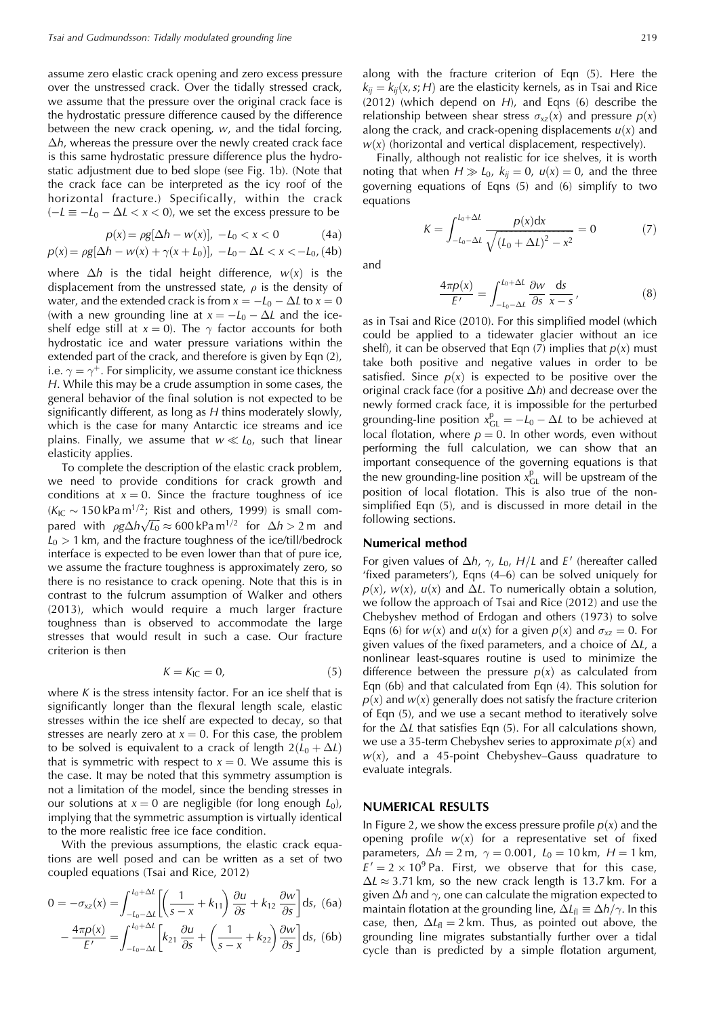assume zero elastic crack opening and zero excess pressure over the unstressed crack. Over the tidally stressed crack, we assume that the pressure over the original crack face is the hydrostatic pressure difference caused by the difference between the new crack opening, *w*, and the tidal forcing,  $\Delta h$ , whereas the pressure over the newly created crack face is this same hydrostatic pressure difference plus the hydrostatic adjustment due to bed slope (see Fig. 1b). (Note that the crack face can be interpreted as the icy roof of the horizontal fracture.) Specifically, within the crack  $(-L \equiv -L_0 - \Delta L < x < 0)$ , we set the excess pressure to be

$$
p(x) = \rho g[\Delta h - w(x)], -L_0 < x < 0 \tag{4a}
$$

$$
p(x) = \rho g[\Delta h - w(x) + \gamma(x + L_0)], -L_0 - \Delta L < x < -L_0, \text{(4b)}
$$

where  $\Delta h$  is the tidal height difference,  $w(x)$  is the displacement from the unstressed state,  $\rho$  is the density of water, and the extended crack is from  $x = -L_0 - \Delta L$  to  $x = 0$ (with a new grounding line at  $x = -L_0 - \Delta L$  and the iceshelf edge still at  $x = 0$ ). The  $\gamma$  factor accounts for both hydrostatic ice and water pressure variations within the extended part of the crack, and therefore is given by Eqn (2), i.e.  $\gamma = \gamma^+$ . For simplicity, we assume constant ice thickness *H*. While this may be a crude assumption in some cases, the general behavior of the final solution is not expected to be significantly different, as long as *H* thins moderately slowly, which is the case for many Antarctic ice streams and ice plains. Finally, we assume that  $w \ll L_0$ , such that linear elasticity applies.

To complete the description of the elastic crack problem, we need to provide conditions for crack growth and conditions at  $x = 0$ . Since the fracture toughness of ice  $(K_{IC} \sim 150 \text{ kPa m}^{1/2})$ ; Rist and others, 1999) is small compared with  $\rho g \Delta h \sqrt{L_0} \approx 600 \text{ kPa m}^{1/2} \text{ for } \Delta h > 2 \text{ m}$  and  $L_0$   $>$  1 km, and the fracture toughness of the ice/till/bedrock interface is expected to be even lower than that of pure ice, we assume the fracture toughness is approximately zero, so there is no resistance to crack opening. Note that this is in contrast to the fulcrum assumption of Walker and others (2013), which would require a much larger fracture toughness than is observed to accommodate the large stresses that would result in such a case. Our fracture criterion is then

$$
K = K_{\rm IC} = 0,\tag{5}
$$

where *K* is the stress intensity factor. For an ice shelf that is significantly longer than the flexural length scale, elastic stresses within the ice shelf are expected to decay, so that stresses are nearly zero at  $x = 0$ . For this case, the problem to be solved is equivalent to a crack of length  $2(L_0 + \Delta L)$ that is symmetric with respect to  $x = 0$ . We assume this is the case. It may be noted that this symmetry assumption is not a limitation of the model, since the bending stresses in our solutions at  $x = 0$  are negligible (for long enough  $L_0$ ), implying that the symmetric assumption is virtually identical to the more realistic free ice face condition.

With the previous assumptions, the elastic crack equations are well posed and can be written as a set of two coupled equations (Tsai and Rice, 2012)

$$
0 = -\sigma_{xz}(x) = \int_{-L_0 - \Delta L}^{L_0 + \Delta L} \left[ \left( \frac{1}{s - x} + k_{11} \right) \frac{\partial u}{\partial s} + k_{12} \frac{\partial w}{\partial s} \right] ds, \text{ (6a)}
$$

$$
- \frac{4\pi p(x)}{E'} = \int_{-L_0 - \Delta L}^{L_0 + \Delta L} \left[ k_{21} \frac{\partial u}{\partial s} + \left( \frac{1}{s - x} + k_{22} \right) \frac{\partial w}{\partial s} \right] ds, \text{ (6b)}
$$

along with the fracture criterion of Eqn (5). Here the  $k_{ii} = k_{ii}(x, s; H)$  are the elasticity kernels, as in Tsai and Rice (2012) (which depend on *H*), and Eqns (6) describe the relationship between shear stress  $\sigma_{xz}(x)$  and pressure  $p(x)$ along the crack, and crack-opening displacements  $u(x)$  and  $w(x)$  (horizontal and vertical displacement, respectively).

Finally, although not realistic for ice shelves, it is worth noting that when  $H \gg L_0$ ,  $k_{ij} = 0$ ,  $u(x) = 0$ , and the three governing equations of Eqns (5) and (6) simplify to two equations

$$
K = \int_{-L_0 - \Delta L}^{L_0 + \Delta L} \frac{p(x)dx}{\sqrt{(L_0 + \Delta L)^2 - x^2}} = 0
$$
 (7)

and

$$
\frac{4\pi p(x)}{E'} = \int_{-L_0 - \Delta L}^{L_0 + \Delta L} \frac{\partial w}{\partial s} \frac{ds}{x - s},
$$
(8)

as in Tsai and Rice (2010). For this simplified model (which could be applied to a tidewater glacier without an ice shelf), it can be observed that Eqn  $(7)$  implies that  $p(x)$  must take both positive and negative values in order to be satisfied. Since  $p(x)$  is expected to be positive over the original crack face (for a positive  $\Delta h$ ) and decrease over the newly formed crack face, it is impossible for the perturbed grounding-line position  $x_{\text{GL}}^{\text{p}} = -L_0 - \Delta L$  to be achieved at local flotation, where  $p = 0$ . In other words, even without performing the full calculation, we can show that an important consequence of the governing equations is that the new grounding-line position  $x_{\text{GL}}^{\text{p}}$  will be upstream of the position of local flotation. This is also true of the nonsimplified Eqn (5), and is discussed in more detail in the following sections.

#### **Numerical method**

For given values of  $\Delta h$ ,  $\gamma$ ,  $L_0$ ,  $H/L$  and  $E'$  (hereafter called 'fixed parameters'), Eqns (4–6) can be solved uniquely for  $p(x)$ ,  $w(x)$ ,  $u(x)$  and  $\Delta L$ . To numerically obtain a solution, we follow the approach of Tsai and Rice (2012) and use the Chebyshev method of Erdogan and others (1973) to solve Eqns (6) for  $w(x)$  and  $u(x)$  for a given  $p(x)$  and  $\sigma_{xx} = 0$ . For given values of the fixed parameters, and a choice of  $\Delta L$ , a nonlinear least-squares routine is used to minimize the difference between the pressure  $p(x)$  as calculated from Eqn (6b) and that calculated from Eqn (4). This solution for  $p(x)$  and  $w(x)$  generally does not satisfy the fracture criterion of Eqn (5), and we use a secant method to iteratively solve for the  $\Delta L$  that satisfies Eqn (5). For all calculations shown, we use a 35-term Chebyshev series to approximate  $p(x)$  and  $w(x)$ , and a 45-point Chebyshev–Gauss quadrature to evaluate integrals.

### **NUMERICAL RESULTS**

In Figure 2, we show the excess pressure profile  $p(x)$  and the opening profile  $w(x)$  for a representative set of fixed parameters,  $\Delta h = 2 \text{ m}$ ,  $\gamma = 0.001$ ,  $L_0 = 10 \text{ km}$ ,  $H = 1 \text{ km}$ ,  $E' = 2 \times 10^9$  Pa. First, we observe that for this case,  $\Delta L \approx 3.71$  km, so the new crack length is 13.7 km. For a given  $\Delta h$  and  $\gamma$ , one can calculate the migration expected to maintain flotation at the grounding line,  $\Delta L_f \equiv \Delta h / \gamma$ . In this case, then,  $\Delta L_f = 2$  km. Thus, as pointed out above, the grounding line migrates substantially further over a tidal cycle than is predicted by a simple flotation argument,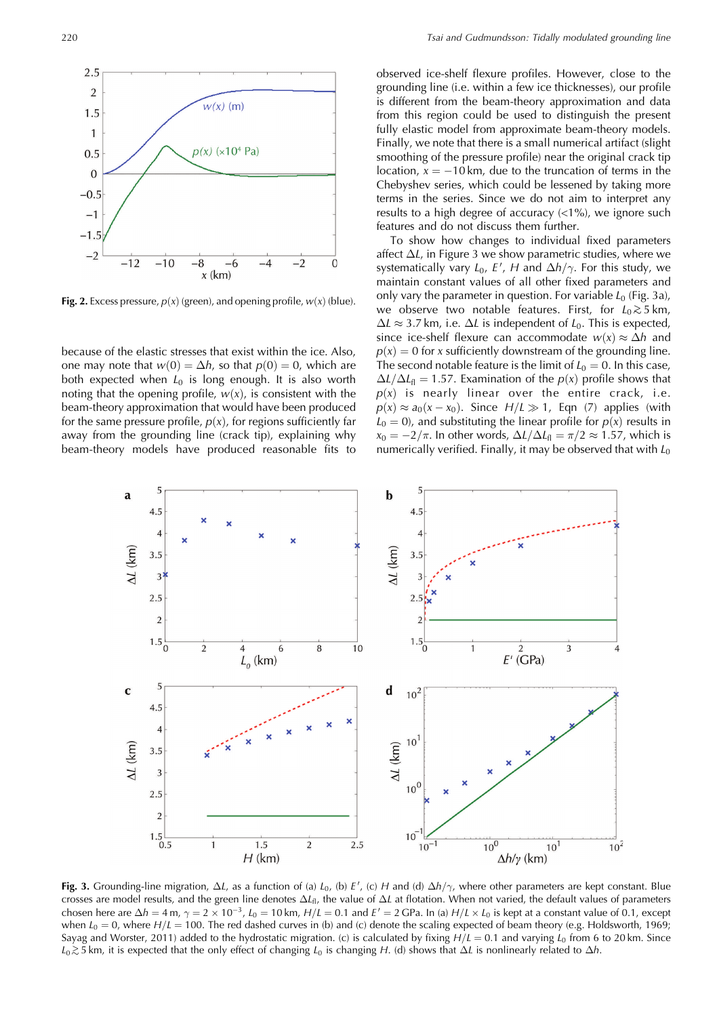

**Fig. 2.** Excess pressure,  $p(x)$  (green), and opening profile,  $w(x)$  (blue).

because of the elastic stresses that exist within the ice. Also, one may note that  $w(0) = \Delta h$ , so that  $p(0) = 0$ , which are both expected when *L*<sup>0</sup> is long enough. It is also worth noting that the opening profile,  $w(x)$ , is consistent with the beam-theory approximation that would have been produced for the same pressure profile,  $p(x)$ , for regions sufficiently far away from the grounding line (crack tip), explaining why beam-theory models have produced reasonable fits to

observed ice-shelf flexure profiles. However, close to the grounding line (i.e. within a few ice thicknesses), our profile is different from the beam-theory approximation and data from this region could be used to distinguish the present fully elastic model from approximate beam-theory models. Finally, we note that there is a small numerical artifact (slight smoothing of the pressure profile) near the original crack tip location,  $x = -10$  km, due to the truncation of terms in the Chebyshev series, which could be lessened by taking more terms in the series. Since we do not aim to interpret any results to a high degree of accuracy  $\langle$  <1%), we ignore such features and do not discuss them further.

To show how changes to individual fixed parameters affect  $\Delta L$ , in Figure 3 we show parametric studies, where we systematically vary  $L_0$ ,  $E'$ ,  $H$  and  $\Delta h/\gamma$ . For this study, we maintain constant values of all other fixed parameters and only vary the parameter in question. For variable *L*<sup>0</sup> (Fig. 3a), we observe two notable features. First, for  $L_0 \gtrsim 5$  km,  $\Delta L \approx 3.7$  km, i.e.  $\Delta L$  is independent of  $L_0$ . This is expected, since ice-shelf flexure can accommodate  $w(x) \approx \Delta h$  and  $p(x) = 0$  for *x* sufficiently downstream of the grounding line. The second notable feature is the limit of  $L_0 = 0$ . In this case,  $\Delta L/\Delta L_f = 1.57$ . Examination of the *p*(*x*) profile shows that  $p(x)$  is nearly linear over the entire crack, i.e.  $p(x) \approx a_0(x - x_0)$ . Since  $H/L \gg 1$ , Eqn (7) applies (with  $L_0 = 0$ , and substituting the linear profile for  $p(x)$  results in  $x_0 = -2/\pi$ . In other words,  $\Delta L/\Delta L_f = \pi/2 \approx 1.57$ , which is numerically verified. Finally, it may be observed that with *L*<sup>0</sup>



**Fig. 3.** Grounding-line migration,  $\Delta L$ , as a function of (a)  $L_0$ , (b)  $E'$ , (c) *H* and (d)  $\Delta h/\gamma$ , where other parameters are kept constant. Blue crosses are model results, and the green line denotes  $\Delta L_{\rm fl}$ , the value of  $\Delta L$  at flotation. When not varied, the default values of parameters chosen here are  $\Delta h = 4$  m,  $\gamma = 2 \times 10^{-3}$ ,  $L_0 = 10$  km,  $H/L = 0.1$  and  $E' = 2$  GPa. In (a)  $H/L \times L_0$  is kept at a constant value of 0.1, except when  $L_0 = 0$ , where  $H/L = 100$ . The red dashed curves in (b) and (c) denote the scaling expected of beam theory (e.g. Holdsworth, 1969; Sayag and Worster, 2011) added to the hydrostatic migration. (c) is calculated by fixing  $H/L = 0.1$  and varying  $L_0$  from 6 to 20 km. Since  $L_0 \gtrsim 5$  km, it is expected that the only effect of changing  $L_0$  is changing *H*. (d) shows that  $\Delta L$  is nonlinearly related to  $\Delta h$ .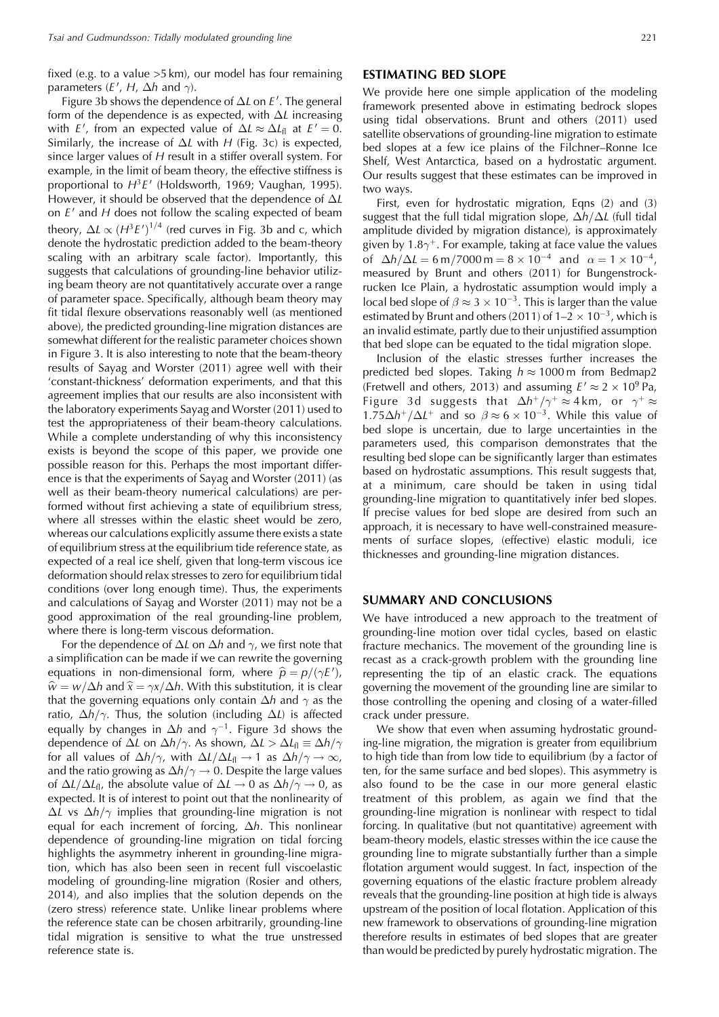fixed (e.g. to a value >5 km), our model has four remaining parameters  $(E', H, \Delta h$  and  $\gamma$ ).

Figure 3b shows the dependence of  $\Delta L$  on  $E'$ . The general form of the dependence is as expected, with  $\Delta L$  increasing with *E'*, from an expected value of  $\Delta L \approx \Delta L_f$  at  $E' = 0$ . Similarly, the increase of  $\Delta L$  with *H* (Fig. 3c) is expected, since larger values of *H* result in a stiffer overall system. For example, in the limit of beam theory, the effective stiffness is proportional to  $H^3E'$  (Holdsworth, 1969; Vaughan, 1995). However, it should be observed that the dependence of  $\Delta L$ on  $E'$  and  $H$  does not follow the scaling expected of beam theory,  $\Delta L \propto (H^3 E')^{1/4}$  (red curves in Fig. 3b and c, which denote the hydrostatic prediction added to the beam-theory scaling with an arbitrary scale factor). Importantly, this suggests that calculations of grounding-line behavior utilizing beam theory are not quantitatively accurate over a range of parameter space. Specifically, although beam theory may fit tidal flexure observations reasonably well (as mentioned above), the predicted grounding-line migration distances are somewhat different for the realistic parameter choices shown in Figure 3. It is also interesting to note that the beam-theory results of Sayag and Worster (2011) agree well with their 'constant-thickness' deformation experiments, and that this agreement implies that our results are also inconsistent with the laboratory experiments Sayag and Worster (2011) used to test the appropriateness of their beam-theory calculations. While a complete understanding of why this inconsistency exists is beyond the scope of this paper, we provide one possible reason for this. Perhaps the most important difference is that the experiments of Sayag and Worster (2011) (as well as their beam-theory numerical calculations) are performed without first achieving a state of equilibrium stress, where all stresses within the elastic sheet would be zero, whereas our calculations explicitly assume there exists a state of equilibrium stress at the equilibrium tide reference state, as expected of a real ice shelf, given that long-term viscous ice deformation should relax stresses to zero for equilibrium tidal conditions (over long enough time). Thus, the experiments and calculations of Sayag and Worster (2011) may not be a good approximation of the real grounding-line problem, where there is long-term viscous deformation.

For the dependence of  $\Delta L$  on  $\Delta h$  and  $\gamma$ , we first note that a simplification can be made if we can rewrite the governing equations in non-dimensional form, where  $\hat{p} = p/(\gamma E')$ ,  $\hat{w} = w/\Delta h$  and  $\hat{x} = \gamma x/\Delta h$ . With this substitution, it is clear that the governing equations only contain  $\Delta h$  and  $\gamma$  as the ratio,  $\Delta h/\gamma$ . Thus, the solution (including  $\Delta L$ ) is affected equally by changes in  $\Delta h$  and  $\gamma^{-1}$ . Figure 3d shows the dependence of  $\Delta L$  on  $\Delta h/\gamma$ . As shown,  $\Delta L > \Delta L_f \equiv \Delta h/\gamma$ for all values of  $\Delta h/\gamma$ , with  $\Delta L/\Delta L_f \rightarrow 1$  as  $\Delta h/\gamma \rightarrow \infty$ , and the ratio growing as  $\Delta h/\gamma \rightarrow 0$ . Despite the large values of  $\Delta L/\Delta L_f$ , the absolute value of  $\Delta L \rightarrow 0$  as  $\Delta h/\gamma \rightarrow 0$ , as expected. It is of interest to point out that the nonlinearity of  $\Delta L$  vs  $\Delta h/\gamma$  implies that grounding-line migration is not equal for each increment of forcing, �*h*. This nonlinear dependence of grounding-line migration on tidal forcing highlights the asymmetry inherent in grounding-line migration, which has also been seen in recent full viscoelastic modeling of grounding-line migration (Rosier and others, 2014), and also implies that the solution depends on the (zero stress) reference state. Unlike linear problems where the reference state can be chosen arbitrarily, grounding-line tidal migration is sensitive to what the true unstressed reference state is.

## **ESTIMATING BED SLOPE**

We provide here one simple application of the modeling framework presented above in estimating bedrock slopes using tidal observations. Brunt and others (2011) used satellite observations of grounding-line migration to estimate bed slopes at a few ice plains of the Filchner–Ronne Ice Shelf, West Antarctica, based on a hydrostatic argument. Our results suggest that these estimates can be improved in two ways.

First, even for hydrostatic migration, Eqns (2) and (3) suggest that the full tidal migration slope,  $\Delta h/\Delta L$  (full tidal amplitude divided by migration distance), is approximately given by  $1.8\gamma^+$ . For example, taking at face value the values of  $\Delta h/\Delta L = 6 \text{ m} / 7000 \text{ m} = 8 \times 10^{-4}$  and  $\alpha = 1 \times 10^{-4}$ , measured by Brunt and others (2011) for Bungenstrockrucken Ice Plain, a hydrostatic assumption would imply a local bed slope of  $\beta \approx 3 \times 10^{-3}$ . This is larger than the value estimated by Brunt and others (2011) of  $1-2 \times 10^{-3}$ , which is an invalid estimate, partly due to their unjustified assumption that bed slope can be equated to the tidal migration slope.

Inclusion of the elastic stresses further increases the predicted bed slopes. Taking  $h \approx 1000 \text{ m}$  from Bedmap2 (Fretwell and others, 2013) and assuming  $E' \approx 2 \times 10^9$  Pa, Figure 3d suggests that  $\Delta h^+/\gamma^+ \approx 4 \text{ km}$ , or  $\gamma^+ \approx$  $1.75\Delta h^+/\Delta L^+$  and so  $\beta \approx 6 \times 10^{-3}$ . While this value of bed slope is uncertain, due to large uncertainties in the parameters used, this comparison demonstrates that the resulting bed slope can be significantly larger than estimates based on hydrostatic assumptions. This result suggests that, at a minimum, care should be taken in using tidal grounding-line migration to quantitatively infer bed slopes. If precise values for bed slope are desired from such an approach, it is necessary to have well-constrained measurements of surface slopes, (effective) elastic moduli, ice thicknesses and grounding-line migration distances.

## **SUMMARY AND CONCLUSIONS**

We have introduced a new approach to the treatment of grounding-line motion over tidal cycles, based on elastic fracture mechanics. The movement of the grounding line is recast as a crack-growth problem with the grounding line representing the tip of an elastic crack. The equations governing the movement of the grounding line are similar to those controlling the opening and closing of a water-filled crack under pressure.

We show that even when assuming hydrostatic grounding-line migration, the migration is greater from equilibrium to high tide than from low tide to equilibrium (by a factor of ten, for the same surface and bed slopes). This asymmetry is also found to be the case in our more general elastic treatment of this problem, as again we find that the grounding-line migration is nonlinear with respect to tidal forcing. In qualitative (but not quantitative) agreement with beam-theory models, elastic stresses within the ice cause the grounding line to migrate substantially further than a simple flotation argument would suggest. In fact, inspection of the governing equations of the elastic fracture problem already reveals that the grounding-line position at high tide is always upstream of the position of local flotation. Application of this new framework to observations of grounding-line migration therefore results in estimates of bed slopes that are greater than would be predicted by purely hydrostatic migration. The